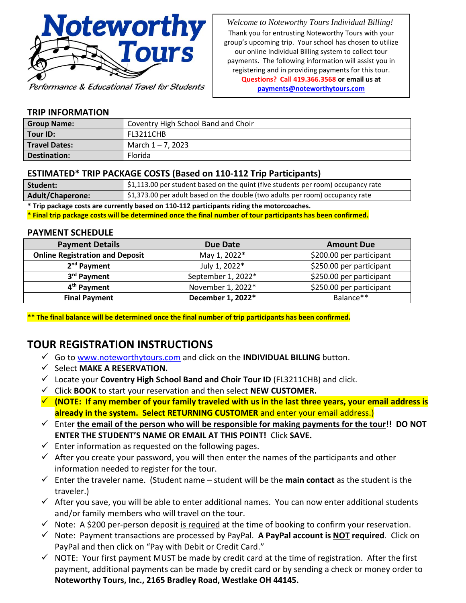

Performance & Educational Travel for Students

 *Welcome to Noteworthy Tours Individual Billing!* Thank you for entrusting Noteworthy Tours with your group's upcoming trip. Your school has chosen to utilize our online Individual Billing system to collect tour payments. The following information will assist you in registering and in providing payments for this tour. **Questions? Call 419.366.3568 or email us at [payments@noteworthytours.com](mailto:payments@noteworthytours.com)**

#### **TRIP INFORMATION**

| <b>Group Name:</b>   | Coventry High School Band and Choir |  |
|----------------------|-------------------------------------|--|
| Tour <b>ID:</b>      | FL3211CHB                           |  |
| <b>Travel Dates:</b> | March 1 – 7, 2023                   |  |
| Destination:         | Florida                             |  |

#### **ESTIMATED\* TRIP PACKAGE COSTS (Based on 110-112 Trip Participants)**

| Student:                                                                                  | $\frac{1}{2}$ \$1,113.00 per student based on the quint (five students per room) occupancy rate |  |  |
|-------------------------------------------------------------------------------------------|-------------------------------------------------------------------------------------------------|--|--|
| <b>Adult/Chaperone:</b>                                                                   | \$1,373.00 per adult based on the double (two adults per room) occupancy rate                   |  |  |
| * Trip package costs are currently based on 110-112 participants riding the motorcoaches. |                                                                                                 |  |  |

**\* Final trip package costs will be determined once the final number of tour participants has been confirmed.**

#### **PAYMENT SCHEDULE**

| <b>Payment Details</b>                 | Due Date           | <b>Amount Due</b>        |
|----------------------------------------|--------------------|--------------------------|
| <b>Online Registration and Deposit</b> | May 1, 2022*       | \$200.00 per participant |
| 2 <sup>nd</sup> Payment                | July 1, 2022*      | \$250.00 per participant |
| 3 <sup>rd</sup> Payment                | September 1, 2022* | \$250.00 per participant |
| 4 <sup>th</sup> Payment                | November 1, 2022*  | \$250.00 per participant |
| <b>Final Payment</b>                   | December 1, 2022*  | Balance**                |

**\*\* The final balance will be determined once the final number of trip participants has been confirmed.**

# **TOUR REGISTRATION INSTRUCTIONS**

- ✓ Go t[o www.noteworthytours.com](http://www.noteworthytours.com/) and click on the **INDIVIDUAL BILLING** button.
- ✓ Select **MAKE A RESERVATION.**
- ✓ Locate your **Coventry High School Band and Choir Tour ID** (FL3211CHB) and click.
- ✓ Click **BOOK** to start your reservation and then select **NEW CUSTOMER.**
- ✓ **(NOTE: If any member of your family traveled with us in the last three years, your email address is already in the system. Select RETURNING CUSTOMER** and enter your email address.)
- ✓ Enter **the email of the person who will be responsible for making payments for the tour!! DO NOT ENTER THE STUDENT'S NAME OR EMAIL AT THIS POINT!** Click **SAVE.**
- $\checkmark$  Enter information as requested on the following pages.
- $\checkmark$  After you create your password, you will then enter the names of the participants and other information needed to register for the tour.
- ✓ Enter the traveler name. (Student name student will be the **main contact** as the student is the traveler.)
- $\checkmark$  After you save, you will be able to enter additional names. You can now enter additional students and/or family members who will travel on the tour.
- $\checkmark$  Note: A \$200 per-person deposit is required at the time of booking to confirm your reservation.
- ✓ Note: Payment transactions are processed by PayPal. **A PayPal account is NOT required**. Click on PayPal and then click on "Pay with Debit or Credit Card."
- $\checkmark$  NOTE: Your first payment MUST be made by credit card at the time of registration. After the first payment, additional payments can be made by credit card or by sending a check or money order to **Noteworthy Tours, Inc., 2165 Bradley Road, Westlake OH 44145.**